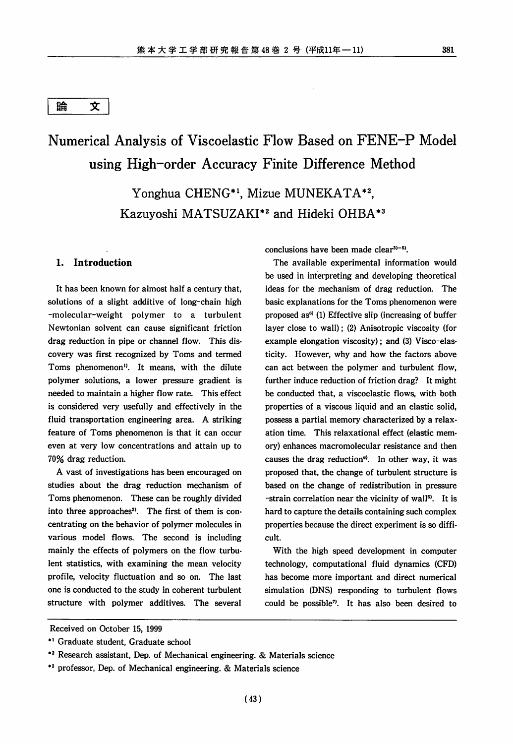#### 論 文

# Numerical Analysis of Viscoelastic Flow Based on FENE-P Model using High-order Accuracy Finite Difference Method

Yonghua CHENG\*1, Mizue MUNEKATA\*2, Kazuyoshi MATSUZAKI\*2 and Hideki OHBA\*3

#### *1. Introduction*

It has been known for almost half a century that, solutions of a slight additive of long-chain high -molecular-weight polymer to a turbulent Newtonian solvent can cause significant friction drag reduction in pipe or channel flow. This dis covery was first recognized by Toms and termed Toms phenomenon<sup>1)</sup>. It means, with the dilute polymer solutions, a lower pressure gradient is needed to maintain a higher flow rate. This effect is considered very usefully and effectively in the fluid transportation engineering area. A striking feature of Toms phenomenon is that it can occur even at very low concentrations and attain up to 70% drag reduction.

A vast of investigations has been encouraged on studies about the drag reduction mechanism of Toms phenomenon. These can be roughly divided into three approaches<sup>2)</sup>. The first of them is concentrating on the behavior of polymer molecules in various model flows. The second is including mainly the effects of polymers on the flow turbu lent statistics, with examining the mean velocity profile, velocity fluctuation and so on. The last one is conducted to the study in coherent turbulent structure with polymer additives. The several

conclusions have been made clear $3$ <sup>-5</sup>).

The available experimental information would be used in interpreting and developing theoretical ideas for the mechanism of drag reduction. The basic explanations for the Toms phenomenon were proposed as<sup>6)</sup> (1) Effective slip (increasing of buffer layer close to wall); (2) Anisotropic viscosity (for example elongation viscosity); and (3) Visco-elasticity. However, why and how the factors above can act between the polymer and turbulent flow, further induce reduction of friction drag? It might be conducted that, a viscoelastic flows, with both properties of a viscous liquid and an elastic solid, possess a partial memory characterized by a relax ation time. This relaxational effect (elastic mem ory) enhances macromolecular resistance and then causes the drag reduction<sup>6)</sup>. In other way, it was proposed that, the change of turbulent structure is based on the change of redistribution in pressure -strain correlation near the vicinity of wall<sup>5)</sup>. It is hard to capture the details containing such complex properties because the direct experiment is so diffi cult.

With the high speed development in computer technology, computational fluid dynamics (CFD) has become more important and direct numerical simulation (DNS) responding to turbulent flows could be possible<sup>7</sup>. It has also been desired to

Received on October 15, 1999

<sup>\*</sup>l Graduate student, Graduate school

<sup>\*2</sup> Research assistant, Dep. of Mechanical engineering. & Materials science

<sup>\*3</sup> professor, Dep. of Mechanical engineering. & Materials science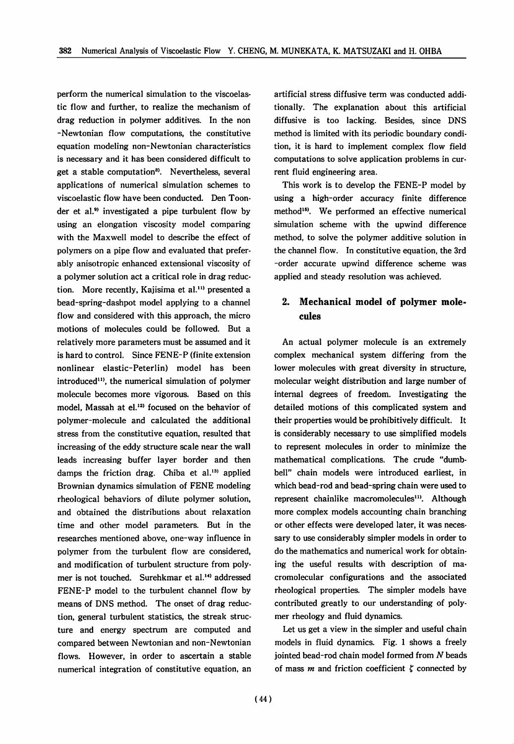perform the numerical simulation to the viscoelas tic flow and further, to realize the mechanism of drag reduction in polymer additives. In the non -Newtonian flow computations, the constitutive equation modeling non-Newtonian characteristics is necessary and it has been considered difficult to get a stable computation<sup>8)</sup>. Nevertheless, several applications of numerical simulation schemes to viscoelastic flow have been conducted. Den Toonder et al.<sup>9)</sup> investigated a pipe turbulent flow by using an elongation viscosity model comparing with the Maxwell model to describe the effect of polymers on a pipe flow and evaluated that prefer ably anisotropic enhanced extensional viscosity of a polymer solution act a critical role in drag reduc tion. More recently, Kajisima et al.<sup>11)</sup> presented a bead-spring-dashpot model applying to a channel flow and considered with this approach, the micro motions of molecules could be followed. But a relatively more parameters must be assumed and it is hard to control. Since FENE-P (finite extension nonlinear elastic-Peterlin) model has been introduced<sup>11</sup>, the numerical simulation of polymer molecule becomes more vigorous. Based on this model, Massah at el.<sup>12)</sup> focused on the behavior of polymer-molecule and calculated the additional stress from the constitutive equation, resulted that increasing of the eddy structure scale near the wall leads increasing buffer layer border and then damps the friction drag. Chiba et al.<sup>13)</sup> applied Brownian dynamics simulation of FENE modeling rheological behaviors of dilute polymer solution, and obtained the distributions about relaxation time and other model parameters. But in the researches mentioned above, one-way influence in polymer from the turbulent flow are considered, and modification of turbulent structure from poly mer is not touched. Surehkmar et al.14' addressed FENE-P model to the turbulent channel flow by means of DNS method. The onset of drag reduc tion, general turbulent statistics, the streak struc ture and energy spectrum are computed and compared between Newtonian and non-Newtonian flows. However, in order to ascertain a stable numerical integration of constitutive equation, an artificial stress diffusive term was conducted addi tionally. The explanation about this artificial diffusive is too lacking. Besides, since DNS method is limited with its periodic boundary condi tion, it is hard to implement complex flow field computations to solve application problems in cur rent fluid engineering area.

This work is to develop the FENE-P model by using a high-order accuracy finite difference method<sup>15)</sup>. We performed an effective numerical simulation scheme with the upwind difference method, to solve the polymer additive solution in the channel flow. In constitutive equation, the 3rd -order accurate upwind difference scheme was applied and steady resolution was achieved.

## *2. Mechanical model of polymer mole cules*

An actual polymer molecule is an extremely complex mechanical system differing from the lower molecules with great diversity in structure, molecular weight distribution and large number of internal degrees of freedom. Investigating the detailed motions of this complicated system and their properties would be prohibitively difficult. It is considerably necessary to use simplified models to represent molecules in order to minimize the mathematical complications. The crude "dumb bell" chain models were introduced earliest, in which bead-rod and bead-spring chain were used to represent chainlike macromolecules<sup>11</sup>. Although more complex models accounting chain branching or other effects were developed later, it was neces sary to use considerably simpler models in order to do the mathematics and numerical work for obtain ing the useful results with description of macromolecular configurations and the associated rheological properties. The simpler models have contributed greatly to our understanding of poly mer rheology and fluid dynamics.

Let us get a view in the simpler and useful chain models in fluid dynamics. Fig. 1 shows a freely jointed bead-rod chain model formed from **N** beads of mass  $m$  and friction coefficient  $\zeta$  connected by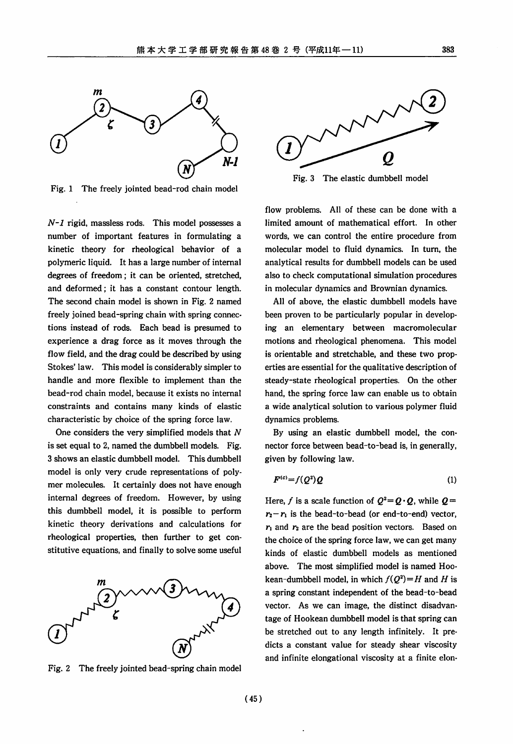

Fig. 1 The freely jointed bead-rod chain model

**N-l** rigid, massless rods. This model possesses a number of important features in formulating a kinetic theory for rheological behavior of a polymeric liquid. It has a large number of internal degrees of freedom; it can be oriented, stretched, and deformed; it has a constant contour length. The second chain model is shown in Fig. 2 named freely joined bead-spring chain with spring connec tions instead of rods. Each bead is presumed to experience a drag force as it moves through the flow field, and the drag could be described by using Stokes' law. This model is considerably simpler to handle and more flexible to implement than the bead-rod chain model, because it exists no internal constraints and contains many kinds of elastic characteristic by choice of the spring force law.

One considers the very simplified models that **N** is set equal to 2, named the dumbbell models. Fig. 3 shows an elastic dumbbell model. This dumbbell model is only very crude representations of poly mer molecules. It certainly does not have enough internal degrees of freedom. However, by using this dumbbell model, it is possible to perform kinetic theory derivations and calculations for rheological properties, then further to get con stitutive equations, and finally to solve some useful



Fig. 2 The freely jointed bead-spring chain model



Fig. 3 The elastic dumbbell model

flow problems. All of these can be done with a limited amount of mathematical effort. In other words, we can control the entire procedure from molecular model to fluid dynamics. In turn, the analytical results for dumbbell models can be used also to check computational simulation procedures in molecular dynamics and Brownian dynamics.

All of above, the elastic dumbbell models have been proven to be particularly popular in develop ing an elementary between macromolecular motions and rheological phenomena. This model is orientable and stretchable, and these two prop erties are essential for the qualitative description of steady-state rheological properties. On the other hand, the spring force law can enable us to obtain a wide analytical solution to various polymer fluid dynamics problems.

By using an elastic dumbbell model, the con nector force between bead-to-bead is, in generally, given by following law.

$$
F^{(c)} = f(Q^2)Q \tag{1}
$$

Here, f is a scale function of  $Q^2 = Q \cdot Q$ , while  $Q =$  $r_2-r_1$  is the bead-to-bead (or end-to-end) vector,  $r_1$  and  $r_2$  are the bead position vectors. Based on the choice of the spring force law, we can get many kinds of elastic dumbbell models as mentioned above. The most simplified model is named Hookean-dumbbell model, in which  $f(Q^2) = H$  and H is a spring constant independent of the bead-to-bead vector. As we can image, the distinct disadvan tage of Hookean dumbbell model is that spring can be stretched out to any length infinitely. It pre dicts a constant value for steady shear viscosity and infinite elongational viscosity at a finite elon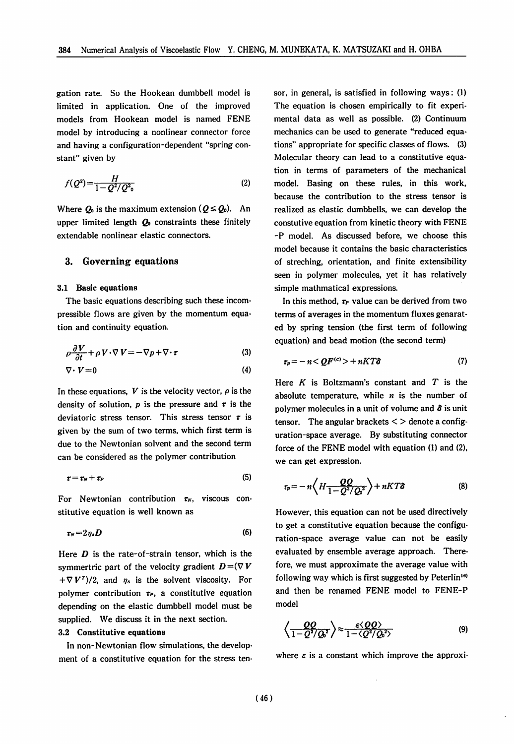gation rate. So the Hookean dumbbell model is limited in application. One of the improved models from Hookean model is named FENE model by introducing a nonlinear connector force and having a configuration-dependent "spring con stant" given by

$$
f(Q^2) = \frac{H}{1 - Q^2 / Q^2_0} \tag{2}
$$

Where  $Q_0$  is the maximum extension  $(Q \leq Q_0)$ . An upper limited length  $Q_0$  constraints these finitely extendable nonlinear elastic connectors.

#### 3. Governing equations

#### *3.1 Basic equations*

The basic equations describing such these incom pressible flows are given by the momentum equa tion and continuity equation.

$$
\rho \frac{\partial V}{\partial t} + \rho V \cdot \nabla V = -\nabla p + \nabla \cdot \tau \tag{3}
$$

$$
\nabla \cdot \boldsymbol{V} = 0 \tag{4}
$$

In these equations,  $V$  is the velocity vector,  $\rho$  is the density of solution,  $p$  is the pressure and  $r$  is the deviatoric stress tensor. This stress tensor  $\tau$  is given by the sum of two terms, which first term is due to the Newtonian solvent and the second term can be considered as the polymer contribution

$$
\tau = \tau_N + \tau_P \tag{5}
$$

For Newtonian contribution  $\tau_N$ , viscous constitutive equation is well known as

$$
\boldsymbol{\tau_N} = 2 \,\eta_s \boldsymbol{D} \tag{6}
$$

Here **D** is the rate-of-strain tensor, which is the symmertric part of the velocity gradient  $D = (\nabla V)$  $+\nabla V^{T}/2$ , and  $\eta_s$  is the solvent viscosity. For polymer contribution  $\tau_{P}$ , a constitutive equation depending on the elastic dumbbell model must be supplied. We discuss it in the next section. *3.2 Constitutive equations*

*In* non-Newtonian flow simulations, the develop ment of a constitutive equation for the stress ten sor, in general, is satisfied in following ways: (1) The equation is chosen empirically to fit experi mental data as well as possible. (2) Continuum mechanics can be used to generate "reduced equa tions" appropriate for specific classes of flows. (3) Molecular theory can lead to a constitutive equa tion in terms of parameters of the mechanical model. Basing on these rules, in this work, because the contribution to the stress tensor is realized as elastic dumbbells, we can develop the constutive equation from kinetic theory with FENE -P model. As discussed before, we choose this model because it contains the basic characteristics of streching, orientation, and finite extensibility seen in polymer molecules, yet it has relatively simple mathmatical expressions.

In this method,  $\tau_P$  value can be derived from two terms of averages in the momentum fluxes genarated by spring tension (the first term of following equation) and bead motion (the second term)

$$
\tau_p = -n < QF^{(c)} > +nKT\delta \tag{7}
$$

Here **K** is Boltzmann's constant and **T** is the absolute temperature, while **n** is the number of polymer molecules in a unit of volume and **8** is unit tensor. The angular brackets  $\lt$  > denote a configuration-space average. By substituting connector force of the FENE model with equation (1) and (2), we can get expression.

$$
\tau_p = -n \left\langle H \frac{QQ}{1 - Q^2 / Q_0^2} \right\rangle + nKT\delta \tag{8}
$$

However, this equation can not be used directively to get a constitutive equation because the configu ration-space average value can not be easily evaluated by ensemble average approach. There fore, we must approximate the average value with following way which is first suggested by Peterlin<sup>16)</sup> and then be renamed FENE model to FENE-P model

$$
\left\langle \frac{QQ}{1 - Q^2/Q_0^2} \right\rangle \approx \frac{\varepsilon \langle QQ \rangle}{1 - \langle Q^2/Q_0^2 \rangle} \tag{9}
$$

where  $\epsilon$  is a constant which improve the approxi-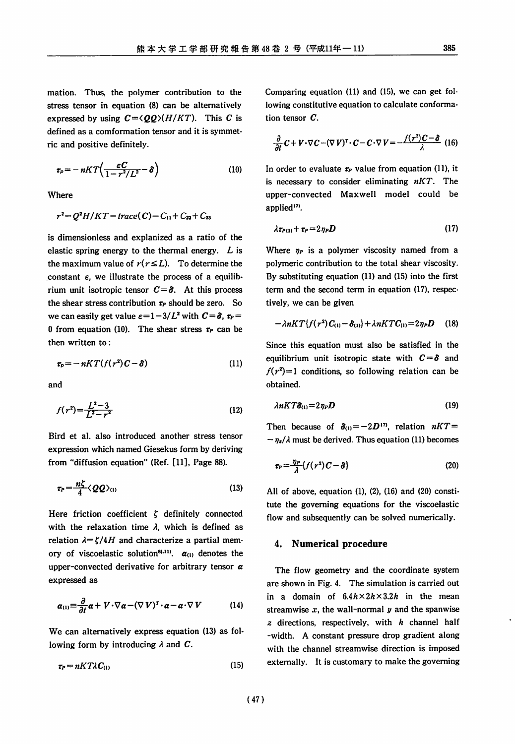mation. Thus, the polymer contribution to the stress tensor in equation (8) can be alternatively expressed by using  $C = \langle QQ \rangle (H/KT)$ . This C is defined as a conformation tensor and it is symmet ric and positive definitely.

$$
\tau_p = -nKT\left(\frac{\varepsilon C}{1 - r^2/L^2} - \delta\right) \tag{10}
$$

Where

$$
r^2 = Q^2H/KT = trace(C) = C_{11} + C_{22} + C_{33}
$$

is dimensionless and explanized as a ratio of the elastic spring energy to the thermal energy. **L** is the maximum value of  $r(r \leq L)$ . To determine the constant  $\epsilon$ , we illustrate the process of a equilibrium unit isotropic tensor  $C = \delta$ . At this process the shear stress contribution  $\tau_P$  should be zero. So we can easily get value  $\varepsilon = 1 - 3/L^2$  with  $C = \delta$ ,  $\tau_P =$ 0 from equation (10). The shear stress  $\tau_P$  can be then written to:

$$
\tau_p = -nKT(f(r^2)C - \delta) \tag{11}
$$

and

$$
f(r^2) = \frac{L^2 - 3}{L^2 - r^2} \tag{12}
$$

Bird et al. also introduced another stress tensor expression which named Giesekus form by deriving from "diffusion equation" (Ref. [11], Page 88).

$$
\tau_P = \frac{n\zeta}{4} \langle \mathcal{QQ}\rangle_{(1)}\tag{13}
$$

Here friction coefficient  $\zeta$  definitely connected with the relaxation time  $\lambda$ , which is defined as relation  $\lambda = \zeta/4H$  and characterize a partial memory of viscoelastic solution<sup>81,11</sup>.  $\alpha_{(1)}$  denotes the upper-convected derivative for arbitrary tensor **a** expressed as

$$
\alpha_{(1)} \equiv \frac{\partial}{\partial t} \alpha + V \cdot \nabla \alpha - (\nabla V)^{T} \cdot \alpha - \alpha \cdot \nabla V \qquad (14)
$$

We can alternatively express equation (13) as fol lowing form by introducing  $\lambda$  and  $C$ .

$$
\tau_P = nKT\lambda C_{(1)}\tag{15}
$$

Comparing equation (11) and (15), we can get fol lowing constitutive equation to calculate conforma tion tensor **C.**

$$
\frac{\partial}{\partial t} C + V \cdot \nabla C - (\nabla V)^{\tau} \cdot C - C \cdot \nabla V = -\frac{f(r^2)C - \delta}{\lambda} \tag{16}
$$

In order to evaluate  $\tau_P$  value from equation (11), it is necessary to consider eliminating **nKT.** The upper-convected Maxwell model could be applied<sup>17</sup>.

$$
\lambda \tau_{P(1)} + \tau_P = 2 \eta_P D \tag{17}
$$

Where  $\eta_{P}$  is a polymer viscosity named from a polymeric contribution to the total shear viscosity. By substituting equation (11) and (15) into the first term and the second term in equation (17), respec tively, we can be given

$$
-\lambda nKT\{f(r^2)C_{(1)}-\delta_{(1)}\}+\lambda nKT C_{(1)}=2\eta_P D \qquad (18)
$$

Since this equation must also be satisfied in the equilibrium unit isotropic state with  $C = \delta$  and  $f(r^2)=1$  conditions, so following relation can be obtained.

$$
\lambda nKT\delta_{(1)}=2\eta_P\bm{D}\tag{19}
$$

Then because of  $\delta_{(1)} = -2D^{(1)}$ , relation  $nKT =$  $-\eta_s/\lambda$  must be derived. Thus equation (11) becomes

$$
\tau_P = \frac{\eta_P}{\lambda} \{ f(r^2) C - \delta \}
$$
 (20)

All of above, equation  $(1)$ ,  $(2)$ ,  $(16)$  and  $(20)$  constitute the governing equations for the viscoelastic flow and subsequently can be solved numerically.

#### *4. Numerical procedure*

The flow geometry and the coordinate system are shown in Fig. 4. The simulation is carried out in a domain of  $6.4h \times 2h \times 3.2h$  in the mean streamwise  $x$ , the wall-normal  $y$  and the spanwise **z** directions, respectively, with **h** channel half -width. A constant pressure drop gradient along with the channel streamwise direction is imposed externally. It is customary to make the governing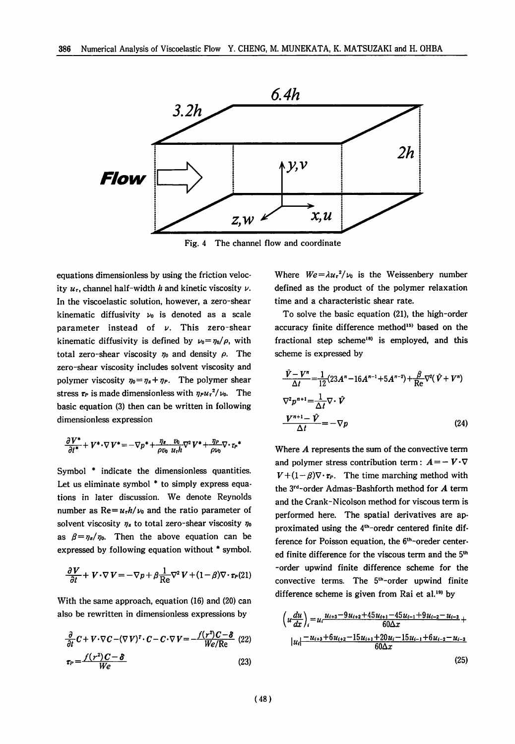

Fig. 4 The channel flow and coordinate

equations dimensionless by using the friction veloc ity  $u_t$ , channel half-width *h* and kinetic viscosity  $v$ . In the viscoelastic solution, however, a zero-shear kinematic diffusivity  $\nu_0$  is denoted as a scale parameter instead of **v.** This zero-shear kinematic diffusivity is defined by  $u_0 = \frac{\eta_0}{\rho}$ , with total zero-shear viscosity  $\eta_0$  and density  $\rho$ . The zero-shear viscosity includes solvent viscosity and polymer viscosity  $\eta_0 = \eta_s + \eta_p$ . The polymer shear stress  $\tau_P$  is made dimensionless with  $\eta_P u_r^2/v_0$ . The basic equation (3) then can be written in following dimensionless expression

$$
\frac{\partial V^*}{\partial t^*} + V^* \cdot \nabla V^* = -\nabla p^* + \frac{\eta_s}{\rho v_b} \frac{v_b}{u_r h} \nabla^2 V^* + \frac{\eta_P}{\rho v_b} \nabla \cdot r_p^*
$$

Symbol \* indicate the dimensionless quantities. Let us eliminate symbol \* to simply express equations in later discussion. We denote Reynolds number as  $Re = u_r h / v_0$  and the ratio parameter of solvent viscosity **ys** to total zero-shear viscosity **jjo** as  $\beta = \eta_s/\eta_0$ . Then the above equation can be expressed by following equation without \* symbol.

$$
\frac{\partial V}{\partial t} + V \cdot \nabla V = -\nabla p + \beta \frac{1}{\text{Re}} \nabla^2 V + (1 - \beta) \nabla \cdot \tau_P(21)
$$

With the same approach, equation (16) and (20) can also be rewritten in dimensionless expressions by

$$
\frac{\partial}{\partial t} C + V \cdot \nabla C - (\nabla V)^T \cdot C - C \cdot \nabla V = -\frac{f(r^2)C - \delta}{We/Re} \quad (22)
$$
\n
$$
\tau_P = \frac{f(r^2)C - \delta}{We} \quad (23)
$$

Where  $We = \lambda u_r^2/v_0$  is the Weissenbery number defined as the product of the polymer relaxation time and a characteristic shear rate.

To solve the basic equation (21), the high-order accuracy finite difference method<sup>15)</sup> based on the fractional step scheme<sup>18)</sup> is employed, and this scheme is expressed by

$$
\frac{\hat{V} - V^n}{\Delta t} = \frac{1}{12} (23A^n - 16A^{n-1} + 5A^{n-2}) + \frac{\beta}{\text{Re}} \nabla^2 (\hat{V} + V^n)
$$
  

$$
\nabla^2 p^{n+1} = \frac{1}{\Delta t} \nabla \cdot \hat{V}
$$
  

$$
\frac{V^{n+1} - \hat{V}}{\Delta t} = -\nabla p
$$
 (24)

Where **A** represents the sum of the convective term and polymer stress contribution term:  $A = -V \cdot \nabla$  $V+(1-\beta)\nabla \cdot \mathbf{r}_P$ . The time marching method with the 3rd-order Admas-Bashforth method for **A** term and the Crank-Nicolson method for viscous term is performed here. The spatial derivatives are ap proximated using the 4<sup>th</sup>-oredr centered finite difference for Poisson equation, the 6<sup>th</sup>-oreder centered finite difference for the viscous term and the 5<sup>th</sup> -order upwind finite difference scheme for the convective terms. The  $5<sup>th</sup>$ -order upwind finite difference scheme is given from Rai et al.<sup>19)</sup> by

$$
\left(u\frac{du}{dx}\right)_i = u_i \frac{u_{i+3} - 9u_{i+2} + 45u_{i+1} - 45u_{i-1} + 9u_{i-2} - u_{i-3}}{60\Delta x} + |u_i| \frac{-u_{i+3} + 6u_{i+2} - 15u_{i+1} + 20u_i - 15u_{i-1} + 6u_{i-2} - u_{i-3}}{60\Delta x}
$$
\n(25)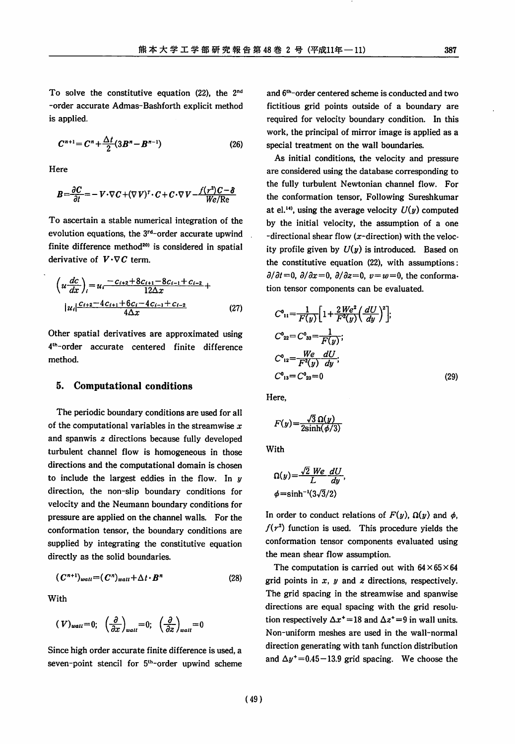To solve the constitutive equation (22), the 2nd -order accurate Admas-Bashforth explicit method

$$
C^{n+1} = C^n + \frac{\Delta t}{2} (3B^n - B^{n-1})
$$
 (26)

Here

is applied.

$$
B = \frac{\partial C}{\partial t} = -V \cdot \nabla C + (\nabla V)^{T} \cdot C + C \cdot \nabla V - \frac{f(r^{2})C - \delta}{We/Re}
$$

To ascertain a stable numerical integration of the evolution equations, the 3rd-order accurate upwind finite difference method<sup>20)</sup> is considered in spatial derivative of  $V \cdot \nabla C$  term.

$$
\left(u\frac{dc}{dx}\right)_i = u_i \frac{-c_{i+2} + 8c_{i+1} - 8c_{i-1} + c_{i-2}}{12\Delta x} +
$$
  
\n
$$
|u_i| \frac{c_{i+2} - 4c_{i+1} + 6c_i - 4c_{i-1} + c_{i-2}}{4\Delta x}
$$
 (27)

Other spatial derivatives are approximated using 4th-order accurate centered finite difference method.

#### 5. *Computational conditions*

The periodic boundary conditions are used for all of the computational variables in the streamwise **x** and spanwis **z** directions because fully developed turbulent channel flow is homogeneous in those directions and the computational domain is chosen to include the largest eddies in the flow. In **y** direction, the non-slip boundary conditions for velocity and the Neumann boundary conditions for pressure are applied on the channel walls. For the conformation tensor, the boundary conditions are supplied by integrating the constitutive equation directly as the solid boundaries.

$$
(C^{n+1})_{wall} = (C^n)_{wall} + \Delta t \cdot B^n \tag{28}
$$

With

$$
(\mathbf{V})_{wall}=0;\ \ \left(\frac{\partial}{\partial x}\right)_{wall}=0;\ \ \left(\frac{\partial}{\partial z}\right)_{wall}=0
$$

Since high order accurate finite difference is used, a seven-point stencil for 5<sup>th</sup>-order upwind scheme and  $6<sup>th</sup>$ -order centered scheme is conducted and two fictitious grid points outside of a boundary are required for velocity boundary condition. In this work, the principal of mirror image is applied as a special treatment on the wall boundaries.

As initial conditions, the velocity and pressure are considered using the database corresponding to the fully turbulent Newtonian channel flow. For the conformation tensor, Following Sureshkumar at el.<sup>14</sup>, using the average velocity  $U(y)$  computed by the initial velocity, the assumption of a one -directional shear flow  $(x$ -direction) with the velocity profile given by  $U(y)$  is introduced. Based on the constitutive equation (22), with assumptions:  $\frac{\partial}{\partial t} = 0$ ,  $\frac{\partial}{\partial x} = 0$ ,  $\frac{\partial}{\partial z} = 0$ ,  $v = w = 0$ , the conformation tensor components can be evaluated.

$$
C^{0}_{11} = \frac{1}{F(y)} \Big[ 1 + \frac{2 \, We^{2}}{F^{2}(y)} \Big( \frac{dU}{dy} \Big)^{2} \Big];
$$
  
\n
$$
C^{0}_{22} = C^{0}_{33} = \frac{1}{F(y)};
$$
  
\n
$$
C^{0}_{12} = \frac{We}{F^{2}(y)} \frac{dU}{dy};
$$
  
\n
$$
C^{0}_{13} = C^{0}_{23} = 0
$$
\n(29)

Here,

$$
F(y) = \frac{\sqrt{3} \Omega(y)}{2 \sinh(\phi/3)}
$$

With

$$
\Omega(y) = \frac{\sqrt{2} \ We \ dU}{L \ dy},
$$
  

$$
\phi = \sinh^{-1}(3\sqrt{3}/2)
$$

In order to conduct relations of  $F(y)$ ,  $\Omega(y)$  and  $\phi$ ,  $f(r^2)$  function is used. This procedure yields the conformation tensor components evaluated using the mean shear flow assumption.

The computation is carried out with  $64 \times 65 \times 64$ grid points in **x, y** and **z** directions, respectively. The grid spacing in the streamwise and spanwise directions are equal spacing with the grid resolu tion respectively  $\Delta x^* = 18$  and  $\Delta z^* = 9$  in wall units. Non-uniform meshes are used in the wall-normal direction generating with tanh function distribution and  $\Delta y^+$  = 0.45 – 13.9 grid spacing. We choose the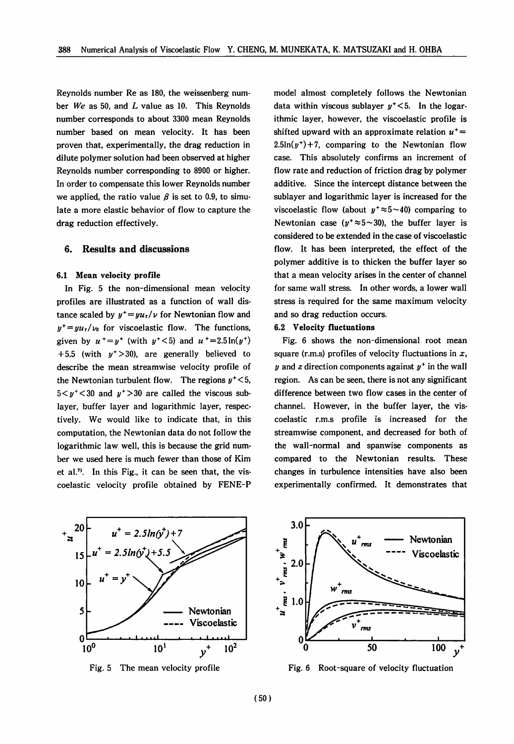Reynolds number Re as 180, the weissenberg num ber **We** as 50, and **L** value as 10. This Reynolds number corresponds to about 3300 mean Reynolds number based on mean velocity. It has been proven that, experimentally, the drag reduction in dilute polymer solution had been observed at higher Reynolds number corresponding to 8900 or higher. In order to compensate this lower Reynolds number we applied, the ratio value  $\beta$  is set to 0.9, to simulate a more elastic behavior of flow to capture the drag reduction effectively.

#### *6. Results and discussions*

#### *6.1 Mean velocity profile*

In Fig. 5 the non-dimensional mean velocity profiles are illustrated as a function of wall dis tance scaled by  $y^+ = yu_t/v$  for Newtonian flow and  $y^+=yu_{\tau}/\nu_0$  for viscoelastic flow. The functions, given by  $u^+ = y^+$  (with  $y^+ < 5$ ) and  $u^+ = 2.5\ln(y^+)$ +5.5 (with  $y^+$ >30), are generally believed to describe the mean streamwise velocity profile of the Newtonian turbulent flow. The regions  $y^+$  < 5,  $5 < y^+$  < 30 and  $y^+$  > 30 are called the viscous sublayer, buffer layer and logarithmic layer, respec tively. We would like to indicate that, in this computation, the Newtonian data do not follow the logarithmic law well, this is because the grid num ber we used here is much fewer than those of Kim et al.<sup>7</sup>. In this Fig., it can be seen that, the viscoelastic velocity profile obtained by FENE-P model almost completely follows the Newtonian data within viscous sublayer  $y^+$ <5. In the logarithmic layer, however, the viscoelastic profile is shifted upward with an approximate relation  $u^+$  =  $2.5\ln(y^+)+7$ , comparing to the Newtonian flow case. This absolutely confirms an increment of flow rate and reduction of friction drag by polymer additive. Since the intercept distance between the sublayer and logarithmic layer is increased for the viscoelastic flow (about  $y^+ \approx 5 \sim 40$ ) comparing to Newtonian case ( $y^+ \approx 5 \sim 30$ ), the buffer layer is considered to be extended in the case of viscoelastic flow. It has been interpreted, the effect of the polymer additive is to thicken the buffer layer so that a mean velocity arises in the center of channel for same wall stress. In other words, a lower wall stress is required for the same maximum velocity and so drag reduction occurs.

#### *6.2 Velocity fluctuations*

Fig. 6 shows the non-dimensional root mean square (r.m.s) profiles of velocity fluctuations in **x, y** and **z** direction components against **y\*** in the wall region. As can be seen, there is not any significant difference between two flow cases in the center of channel. However, in the buffer layer, the vis coelastic r.m.s profile is increased for the streamwise component, and decreased for both of the wall-normal and spanwise components as compared to the Newtonian results. These changes in turbulence intensities have also been experimentally confirmed. It demonstrates that



Fig. 5 The mean velocity profile



Fig. 6 Root-square of velocity fluctuation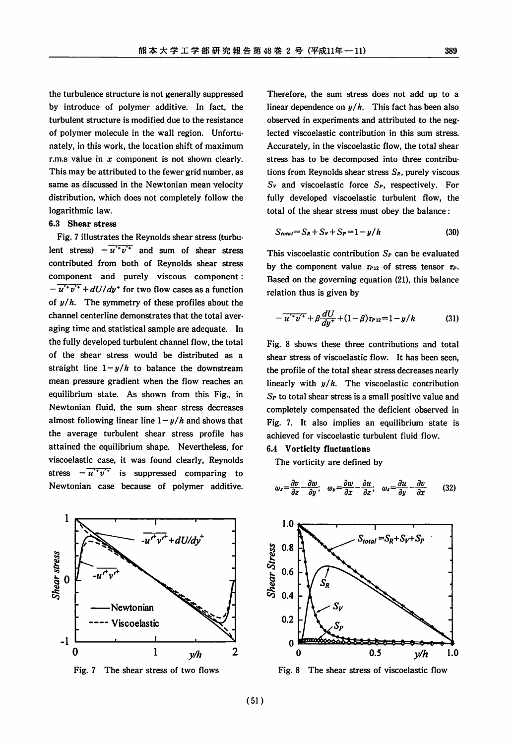the turbulence structure is not generally suppressed by introduce of polymer additive. In fact, the turbulent structure is modified due to the resistance of polymer molecule in the wall region. Unfortu nately, in this work, the location shift of maximum r.m.s value in **x** component is not shown clearly. This may be attributed to the fewer grid number, as same as discussed in the Newtonian mean velocity distribution, which does not completely follow the logarithmic law.

#### 6.3 *Shear* stress

Fig. 7 illustrates the Reynolds shear stress (turbu lent stress)  $-\overline{u' + v'}$  and sum of shear stress contributed from both of Reynolds shear stress component and purely viscous component:  $-\overline{u' + v'} + dU/dy'$  for two flow cases as a function of  $y/h$ . The symmetry of these profiles about the channel centerline demonstrates that the total aver aging time and statistical sample are adequate. In the fully developed turbulent channel flow, the total of the shear stress would be distributed as a straight line  $1-y/h$  to balance the downstream mean pressure gradient when the flow reaches an equilibrium state. As shown from this Fig., in Newtonian fluid, the sum shear stress decreases almost following linear line  $1 - y/h$  and shows that the average turbulent shear stress profile has attained the equilibrium shape. Nevertheless, for viscoelastic case, it was found clearly, Reynolds stress  $-\overline{u' + v'}$  is suppressed comparing to Newtonian case because of polymer additive.



Fig. 7 The shear stress of two flows

Therefore, the sum stress does not add up to a linear dependence on **y/h.** This fact has been also observed in experiments and attributed to the neg lected viscoelastic contribution in this sum stress. Accurately, in the viscoelastic flow, the total shear stress has to be decomposed into three contribu tions from Reynolds shear stress **S»,** purely viscous **Sv** and viscoelastic force **Sp,** respectively. For fully developed viscoelastic turbulent flow, the total of the shear stress must obey the balance:

$$
S_{total} = S_R + S_V + S_P = 1 - y/h
$$
 (30)

This viscoelastic contribution **Sp** can be evaluated by the component value  $\tau_{P12}$  of stress tensor  $\tau_P$ . Based on the governing equation (21), this balance relation thus is given by

$$
-\overline{u'^+v'^+} + \beta \frac{dU}{dy^+} + (1-\beta)\tau_{P12} = 1 - y/h \tag{31}
$$

Fig. 8 shows these three contributions and total shear stress of viscoelastic flow. It has been seen, the profile of the total shear stress decreases nearly linearly with **y/h.** The viscoelastic contribution **Sp** to total shear stress is a small positive value and completely compensated the deficient observed in Fig. 7. It also implies an equilibrium state is achieved for viscoelastic turbulent fluid flow.

#### *6.4 Vorticity fluctuations*

The vorticity are defined by

$$
\omega_x = \frac{\partial v}{\partial z} - \frac{\partial w}{\partial y}; \quad \omega_y = \frac{\partial w}{\partial x} - \frac{\partial u}{\partial z}; \quad \omega_z = \frac{\partial u}{\partial y} - \frac{\partial v}{\partial x} \tag{32}
$$



Fig. 8 The shear stress of viscoelastic flow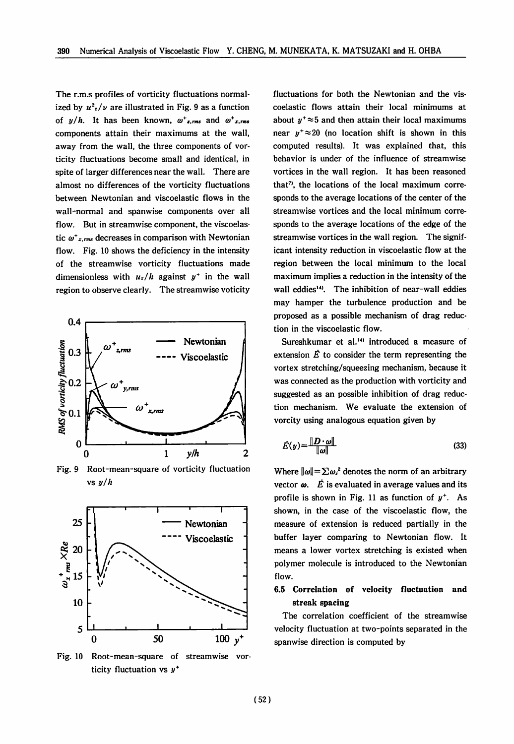The r.m.s profiles of vorticity fluctuations normal ized by  $u^2t/\nu$  are illustrated in Fig. 9 as a function of  $y/h$ . It has been known,  $\omega^*$ <sub>x,rms</sub> and  $\omega^*$ <sub>x,rms</sub> components attain their maximums at the wall, away from the wall, the three components of vor ticity fluctuations become small and identical, in spite of larger differences near the wall. There are almost no differences of the vorticity fluctuations between Newtonian and viscoelastic flows in the wall-normal and spanwise components over all flow. But in streamwise component, the viscoelas tic  $\omega^*$ <sub>x,rms</sub> decreases in comparison with Newtonian flow. Fig. 10 shows the deficiency in the intensity of the streamwise vorticity fluctuations made dimensionless with  $u_r/h$  against  $y^+$  in the wall region to observe clearly. The streamwise voticity



Fig. 9 Root-mean-square of vorticity fluctuation vs **y/h**



Fig. 10 Root-mean-square of streamwise vor ticity fluctuation vs **y\***

fluctuations for both the Newtonian and the vis coelastic flows attain their local minimums at about  $y^* \approx 5$  and then attain their local maximums near  $y^* \approx 20$  (no location shift is shown in this computed results). It was explained that, this behavior is under of the influence of streamwise vortices in the wall region. It has been reasoned that<sup>7</sup>, the locations of the local maximum corresponds to the average locations of the center of the streamwise vortices and the local minimum corre sponds to the average locations of the edge of the streamwise vortices in the wall region. The signif icant intensity reduction in viscoelastic flow at the region between the local minimum to the local maximum implies a reduction in the intensity of the wall eddies<sup>14</sup>. The inhibition of near-wall eddies may hamper the turbulence production and be proposed as a possible mechanism of drag reduc tion in the viscoelastic flow.

Sureshkumar et al.<sup>14)</sup> introduced a measure of extension  $\vec{E}$  to consider the term representing the vortex stretching/squeezing mechanism, because it was connected as the production with vorticity and suggested as an possible inhibition of drag reduc tion mechanism. We evaluate the extension of vorcity using analogous equation given by

$$
\dot{E}(y) = \frac{\|\mathbf{D} \cdot \mathbf{\omega}\|}{\|\mathbf{\omega}\|} \tag{33}
$$

Where  $\|\omega\|=\sum \omega_i^2$  denotes the norm of an arbitrary vector  $\boldsymbol{\omega}$ .  $\boldsymbol{\dot{E}}$  is evaluated in average values and its profile is shown in Fig. 11 as function of **y+.** As shown, in the case of the viscoelastic flow, the measure of extension is reduced partially in the buffer layer comparing to Newtonian flow. It means a lower vortex stretching is existed when polymer molecule is introduced to the Newtonian flow.

## *6.5 Correlation of velocity fluctuation and streak spacing*

The correlation coefficient of the streamwise velocity fluctuation at two-points separated in the spanwise direction is computed by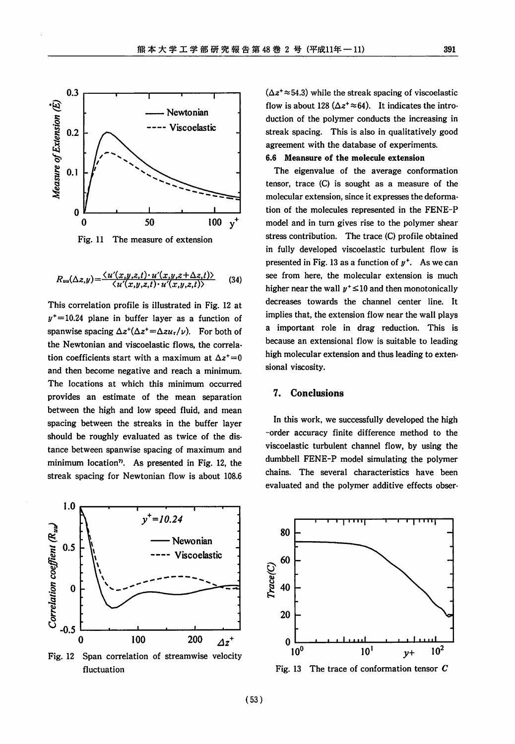

Fig. 11 The measure of extension

$$
R_{uu}(\Delta z,y) = \frac{\langle u'(x,y,z,t) \cdot u'(x,y,z+\Delta z,t) \rangle}{\langle u'(x,y,z,t) \cdot u'(x,y,z,t) \rangle} \qquad (34)
$$

This correlation profile is illustrated in Fig. 12 at  $y^+=10.24$  plane in buffer layer as a function of spanwise spacing  $\Delta z^{\dagger}(\Delta z^{\dagger}=\Delta z u_{\tau}/v)$ . For both of the Newtonian and viscoelastic flows, the correla tion coefficients start with a maximum at  $\Delta z^* = 0$ and then become negative and reach a minimum. The locations at which this minimum occurred provides an estimate of the mean separation between the high and low speed fluid, and mean spacing between the streaks in the buffer layer should be roughly evaluated as twice of the dis tance between spanwise spacing of maximum and minimum location<sup>7</sup>. As presented in Fig. 12, the streak spacing for Newtonian flow is about 108.6



Fig. 12 Span correlation of streamwise velocity fluctuation

 $(\Delta z^+ \approx 54.3)$  while the streak spacing of viscoelastic flow is about 128 ( $\Delta z^+ \approx 64$ ). It indicates the introduction of the polymer conducts the increasing in streak spacing. This is also in qualitatively good agreement with the database of experiments. *6.6 Meansure of the molecule extension*

The eigenvalue of the average conformation tensor, trace (C) is sought as a measure of the molecular extension, since it expresses the deforma tion of the molecules represented in the FENE-P model and in turn gives rise to the polymer shear stress contribution. The trace (C) profile obtained in fully developed viscoelastic turbulent flow is presented in Fig. 13 as a function of  $y^+$ . As we can see from here, the molecular extension is much higher near the wall  $y^+ \leq 10$  and then monotonically decreases towards the channel center line. It implies that, the extension flow near the wall plays a important role in drag reduction. This is because an extensional flow is suitable to leading high molecular extension and thus leading to exten sional viscosity.

#### *7. Conclusions*

In this work, we successfully developed the high -order accuracy finite difference method to the viscoelastic turbulent channel flow, by using the dumbbell FENE-P model simulating the polymer chains. The several characteristics have been evaluated and the polymer additive effects obser-



Fig. 13 The trace of conformation tensor **C**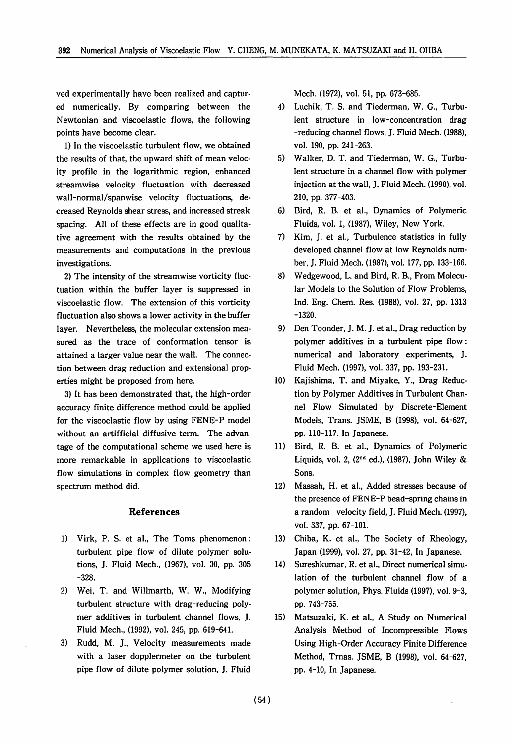ved experimentally have been realized and captur ed numerically. By comparing between the Newtonian and viscoelastic flows, the following points have become clear.

1) In the viscoelastic turbulent flow, we obtained the results of that, the upward shift of mean veloc ity profile in the logarithmic region, enhanced streamwise velocity fluctuation with decreased wall-normal/spanwise velocity fluctuations, de creased Reynolds shear stress, and increased streak spacing. All of these effects are in good qualita tive agreement with the results obtained by the measurements and computations in the previous investigations.

2) The intensity of the streamwise vorticity fluc tuation within the buffer layer is suppressed in viscoelastic flow. The extension of this vorticity fluctuation also shows a lower activity in the buffer layer. Nevertheless, the molecular extension mea sured as the trace of conformation tensor is attained a larger value near the wall. The connec tion between drag reduction and extensional prop erties might be proposed from here.

3) It has been demonstrated that, the high-order accuracy finite difference method could be applied for the viscoelastic flow by using FENE-P model without an artifficial diffusive term. The advan tage of the computational scheme we used here is more remarkable in applications to viscoelastic flow simulations in complex flow geometry than spectrum method did.

#### *References*

- 1) Virk, P. S. et al., The Toms phenomenon: turbulent pipe flow of dilute polymer solu tions, J. Fluid Mech., (1967), vol. 30, pp. 305 -328.
- 2) Wei, T. and Willmarth, W. W., Modifying turbulent structure with drag-reducing poly mer additives in turbulent channel flows, J. Fluid Mech., (1992), vol. 245, pp. 619-641.
- 3) Rudd, M. J., Velocity measurements made with a laser dopplermeter on the turbulent pipe flow of dilute polymer solution, J. Fluid

Mech. (1972), vol. 51, pp. 673-685.

- 4) Luchik, T. S. and Tiederman, W. G., Turbu lent structure in low-concentration drag -reducing channel flows, J. Fluid Mech. (1988), vol. 190, pp. 241-263.
- 5) Walker, D. T. and Tiederman, W. G., Turbu lent structure in a channel flow with polymer injection at the wall, J. Fluid Mech. (1990), vol. 210, pp. 377-403.
- 6) Bird, R. B. et al., Dynamics of Polymeric Fluids, vol. 1, (1987), Wiley, New York.
- 7) Kim, J. et al., Turbulence statistics in fully developed channel flow at low Reynolds num ber, J. Fluid Mech. (1987), vol. 177, pp. 133-166.
- 8) Wedgewood, L. and Bird, R. B., From Molecu lar Models to the Solution of Flow Problems, Ind. Eng. Chem. Res. (1988), vol. 27, pp. 1313 -1320.
- 9) Den Toonder, J. M. J. et al., Drag reduction by polymer additives in a turbulent pipe flow: numerical and laboratory experiments, J. Fluid Mech. (1997), vol. 337, pp. 193-231.
- 10) Kajishima, T. and Miyake, Y., Drag Reduc tion by Polymer Additives in Turbulent Chan nel Flow Simulated by Discrete-Element Models, Trans. JSME, B (1998), vol. 64-627, pp. 110-117. In Japanese.
- 11) Bird, R. B. et al., Dynamics of Polymeric Liquids, vol. 2,  $(2^{nd}$  ed.),  $(1987)$ , John Wiley & Sons.
- 12) Massah, H. et al., Added stresses because of the presence of FENE-P bead-spring chains in a random velocity field, J. Fluid Mech. (1997), vol. 337, pp. 67-101.
- 13) Chiba, K. et al., The Society of Rheology, Japan (1999), vol. 27, pp. 31-42, In Japanese.
- 14) Sureshkumar, R. et al., Direct numerical simu lation of the turbulent channel flow of a polymer solution, Phys. Fluids (1997), vol. 9-3, pp. 743-755.
- 15) Matsuzaki, K. et al., A Study on Numerical Analysis Method of Incompressible Flows Using High-Order Accuracy Finite Difference Method, Trnas. JSME, B (1998), vol. 64-627, pp. 4-10, In Japanese.